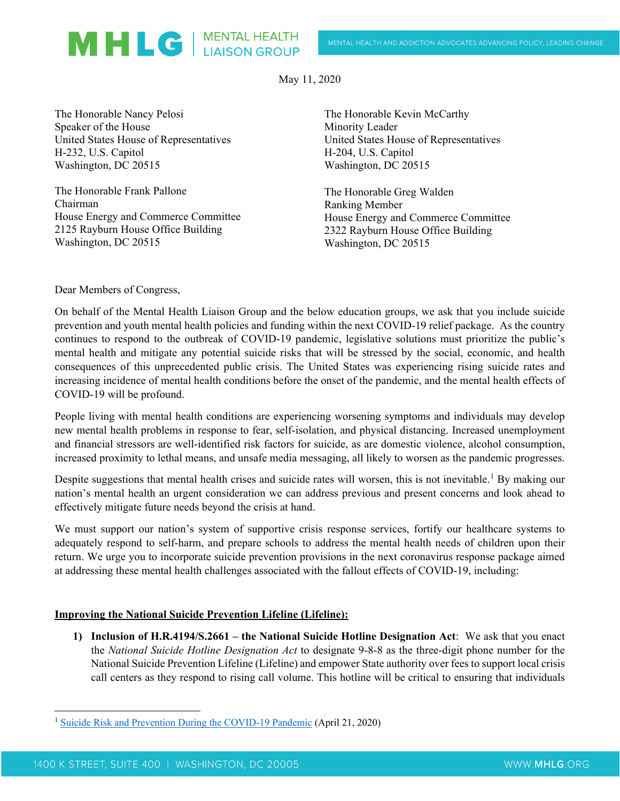May 11, 2020

The Honorable Nancy Pelosi Speaker of the House United States House of Representatives H-232, U.S. Capitol Washington, DC 20515

MHLG | MENTAL HEALTH

The Honorable Frank Pallone Chairman House Energy and Commerce Committee 2125 Rayburn House Office Building Washington, DC 20515

The Honorable Kevin McCarthy Minority Leader United States House of Representatives H-204, U.S. Capitol Washington, DC 20515

The Honorable Greg Walden Ranking Member House Energy and Commerce Committee 2322 Rayburn House Office Building Washington, DC 20515

Dear Members of Congress,

On behalf of the Mental Health Liaison Group and the below education groups, we ask that you include suicide prevention and youth mental health policies and funding within the next COVID-19 relief package. As the country continues to respond to the outbreak of COVID-19 pandemic, legislative solutions must prioritize the public's mental health and mitigate any potential suicide risks that will be stressed by the social, economic, and health consequences of this unprecedented public crisis. The United States was experiencing rising suicide rates and increasing incidence of mental health conditions before the onset of the pandemic, and the mental health effects of COVID-19 will be profound.

People living with mental health conditions are experiencing worsening symptoms and individuals may develop new mental health problems in response to fear, self-isolation, and physical distancing. Increased unemployment and financial stressors are well-identified risk factors for suicide, as are domestic violence, alcohol consumption, increased proximity to lethal means, and unsafe media messaging, all likely to worsen as the pandemic progresses.

Despite suggestions that mental health crises and suicide rates will worsen, this is not inevitable.<sup>[1](#page-0-0)</sup> By making our nation's mental health an urgent consideration we can address previous and present concerns and look ahead to effectively mitigate future needs beyond the crisis at hand.

We must support our nation's system of supportive crisis response services, fortify our healthcare systems to adequately respond to self-harm, and prepare schools to address the mental health needs of children upon their return. We urge you to incorporate suicide prevention provisions in the next coronavirus response package aimed at addressing these mental health challenges associated with the fallout effects of COVID-19, including:

### **Improving the National Suicide Prevention Lifeline (Lifeline):**

**1) Inclusion of H.R.4194/S.2661 – the National Suicide Hotline Designation Act**: We ask that you enact the *National Suicide Hotline Designation Act* to designate 9-8-8 as the three-digit phone number for the National Suicide Prevention Lifeline (Lifeline) and empower State authority over fees to support local crisis call centers as they respond to rising call volume. This hotline will be critical to ensuring that individuals

<span id="page-0-0"></span>[Suicide Risk and Prevention During the COVID-19 Pandemic](https://www.thelancet.com/journals/lanpsy/article/PIIS2215-0366(20)30171-1/fulltext) (April 21, 2020)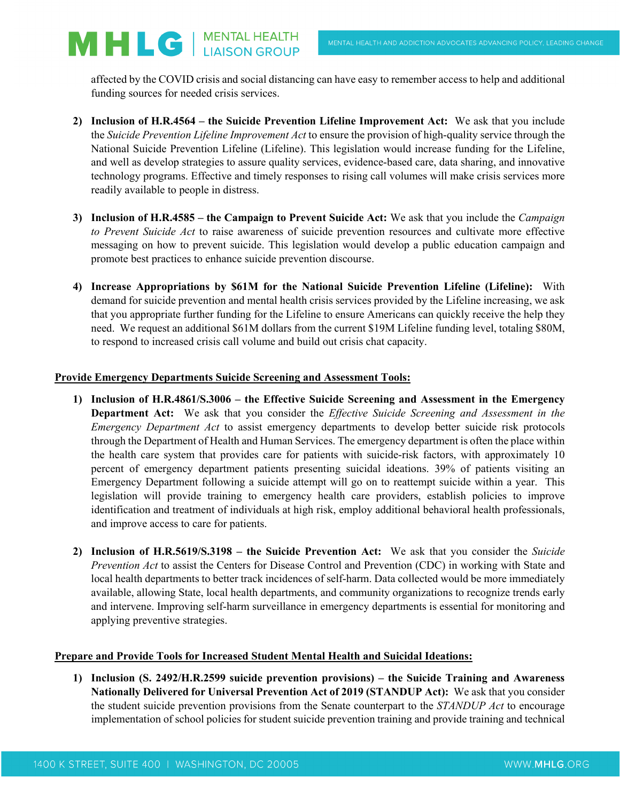affected by the COVID crisis and social distancing can have easy to remember access to help and additional funding sources for needed crisis services.

- **2) Inclusion of H.R.4564 – the Suicide Prevention Lifeline Improvement Act:** We ask that you include the *Suicide Prevention Lifeline Improvement Act* to ensure the provision of high-quality service through the National Suicide Prevention Lifeline (Lifeline). This legislation would increase funding for the Lifeline, and well as develop strategies to assure quality services, evidence-based care, data sharing, and innovative technology programs. Effective and timely responses to rising call volumes will make crisis services more readily available to people in distress.
- **3) Inclusion of H.R.4585 – the Campaign to Prevent Suicide Act:** We ask that you include the *Campaign to Prevent Suicide Act* to raise awareness of suicide prevention resources and cultivate more effective messaging on how to prevent suicide. This legislation would develop a public education campaign and promote best practices to enhance suicide prevention discourse.
- **4) Increase Appropriations by \$61M for the National Suicide Prevention Lifeline (Lifeline):** With demand for suicide prevention and mental health crisis services provided by the Lifeline increasing, we ask that you appropriate further funding for the Lifeline to ensure Americans can quickly receive the help they need. We request an additional \$61M dollars from the current \$19M Lifeline funding level, totaling \$80M, to respond to increased crisis call volume and build out crisis chat capacity.

# **Provide Emergency Departments Suicide Screening and Assessment Tools:**

MHLG | MENTAL HEALTH

- **1) Inclusion of H.R.4861/S.3006 – the Effective Suicide Screening and Assessment in the Emergency Department Act:** We ask that you consider the *Effective Suicide Screening and Assessment in the Emergency Department Act* to assist emergency departments to develop better suicide risk protocols through the Department of Health and Human Services. The emergency department is often the place within the health care system that provides care for patients with suicide-risk factors, with approximately 10 percent of emergency department patients presenting suicidal ideations. 39% of patients visiting an Emergency Department following a suicide attempt will go on to reattempt suicide within a year. This legislation will provide training to emergency health care providers, establish policies to improve identification and treatment of individuals at high risk, employ additional behavioral health professionals, and improve access to care for patients.
- **2) Inclusion of H.R.5619/S.3198 – the Suicide Prevention Act:** We ask that you consider the *Suicide Prevention Act* to assist the Centers for Disease Control and Prevention (CDC) in working with State and local health departments to better track incidences of self-harm. Data collected would be more immediately available, allowing State, local health departments, and community organizations to recognize trends early and intervene. Improving self-harm surveillance in emergency departments is essential for monitoring and applying preventive strategies.

## **Prepare and Provide Tools for Increased Student Mental Health and Suicidal Ideations:**

**1) Inclusion (S. 2492/H.R.2599 suicide prevention provisions) – the Suicide Training and Awareness Nationally Delivered for Universal Prevention Act of 2019 (STANDUP Act):** We ask that you consider the student suicide prevention provisions from the Senate counterpart to the *STANDUP Act* to encourage implementation of school policies for student suicide prevention training and provide training and technical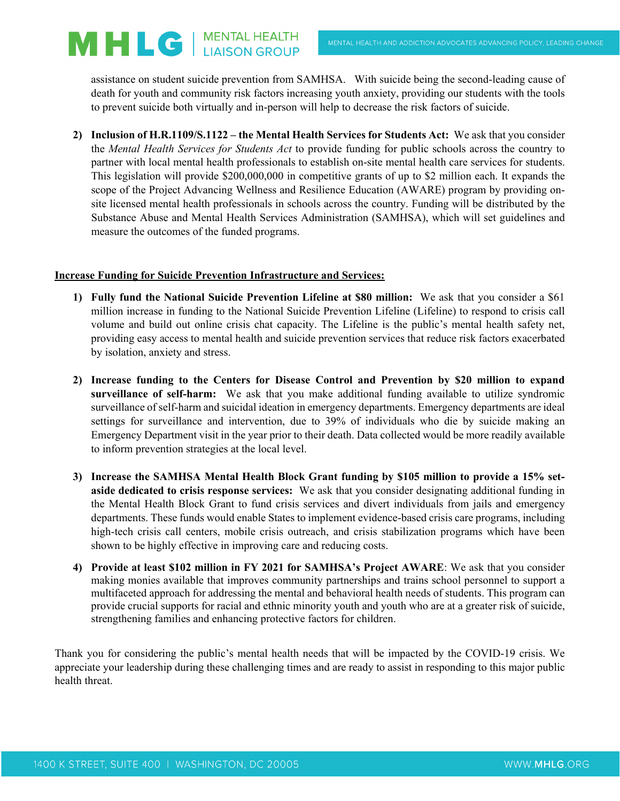MHLG | MENTAL HEALTH

assistance on student suicide prevention from SAMHSA. With suicide being the second-leading cause of death for youth and community risk factors increasing youth anxiety, providing our students with the tools to prevent suicide both virtually and in-person will help to decrease the risk factors of suicide.

**2) Inclusion of H.R.1109/S.1122 – the Mental Health Services for Students Act:** We ask that you consider the *Mental Health Services for Students Act* to provide funding for public schools across the country to partner with local mental health professionals to establish on-site mental health care services for students. This legislation will provide \$200,000,000 in competitive grants of up to \$2 million each. It expands the scope of the Project Advancing Wellness and Resilience Education (AWARE) program by providing onsite licensed mental health professionals in schools across the country. Funding will be distributed by the Substance Abuse and Mental Health Services Administration (SAMHSA), which will set guidelines and measure the outcomes of the funded programs.

# **Increase Funding for Suicide Prevention Infrastructure and Services:**

- **1) Fully fund the National Suicide Prevention Lifeline at \$80 million:** We ask that you consider a \$61 million increase in funding to the National Suicide Prevention Lifeline (Lifeline) to respond to crisis call volume and build out online crisis chat capacity. The Lifeline is the public's mental health safety net, providing easy access to mental health and suicide prevention services that reduce risk factors exacerbated by isolation, anxiety and stress.
- **2) Increase funding to the Centers for Disease Control and Prevention by \$20 million to expand surveillance of self-harm:** We ask that you make additional funding available to utilize syndromic surveillance of self-harm and suicidal ideation in emergency departments. Emergency departments are ideal settings for surveillance and intervention, due to 39% of individuals who die by suicide making an Emergency Department visit in the year prior to their death. Data collected would be more readily available to inform prevention strategies at the local level.
- **3) Increase the SAMHSA Mental Health Block Grant funding by \$105 million to provide a 15% setaside dedicated to crisis response services:** We ask that you consider designating additional funding in the Mental Health Block Grant to fund crisis services and divert individuals from jails and emergency departments. These funds would enable States to implement evidence-based crisis care programs, including high-tech crisis call centers, mobile crisis outreach, and crisis stabilization programs which have been shown to be highly effective in improving care and reducing costs.
- **4) Provide at least \$102 million in FY 2021 for SAMHSA's Project AWARE**: We ask that you consider making monies available that improves community partnerships and trains school personnel to support a multifaceted approach for addressing the mental and behavioral health needs of students. This program can provide crucial supports for racial and ethnic minority youth and youth who are at a greater risk of suicide, strengthening families and enhancing protective factors for children.

Thank you for considering the public's mental health needs that will be impacted by the COVID-19 crisis. We appreciate your leadership during these challenging times and are ready to assist in responding to this major public health threat.